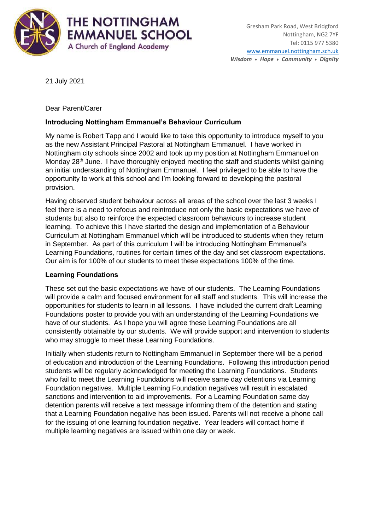

21 July 2021

Dear Parent/Carer

# **Introducing Nottingham Emmanuel's Behaviour Curriculum**

My name is Robert Tapp and I would like to take this opportunity to introduce myself to you as the new Assistant Principal Pastoral at Nottingham Emmanuel. I have worked in Nottingham city schools since 2002 and took up my position at Nottingham Emmanuel on Monday 28<sup>th</sup> June. I have thoroughly enjoyed meeting the staff and students whilst gaining an initial understanding of Nottingham Emmanuel. I feel privileged to be able to have the opportunity to work at this school and I'm looking forward to developing the pastoral provision.

Having observed student behaviour across all areas of the school over the last 3 weeks I feel there is a need to refocus and reintroduce not only the basic expectations we have of students but also to reinforce the expected classroom behaviours to increase student learning. To achieve this I have started the design and implementation of a Behaviour Curriculum at Nottingham Emmanuel which will be introduced to students when they return in September. As part of this curriculum I will be introducing Nottingham Emmanuel's Learning Foundations, routines for certain times of the day and set classroom expectations. Our aim is for 100% of our students to meet these expectations 100% of the time.

## **Learning Foundations**

These set out the basic expectations we have of our students. The Learning Foundations will provide a calm and focused environment for all staff and students. This will increase the opportunities for students to learn in all lessons. I have included the current draft Learning Foundations poster to provide you with an understanding of the Learning Foundations we have of our students. As I hope you will agree these Learning Foundations are all consistently obtainable by our students. We will provide support and intervention to students who may struggle to meet these Learning Foundations.

Initially when students return to Nottingham Emmanuel in September there will be a period of education and introduction of the Learning Foundations. Following this introduction period students will be regularly acknowledged for meeting the Learning Foundations. Students who fail to meet the Learning Foundations will receive same day detentions via Learning Foundation negatives. Multiple Learning Foundation negatives will result in escalated sanctions and intervention to aid improvements. For a Learning Foundation same day detention parents will receive a text message informing them of the detention and stating that a Learning Foundation negative has been issued. Parents will not receive a phone call for the issuing of one learning foundation negative. Year leaders will contact home if multiple learning negatives are issued within one day or week.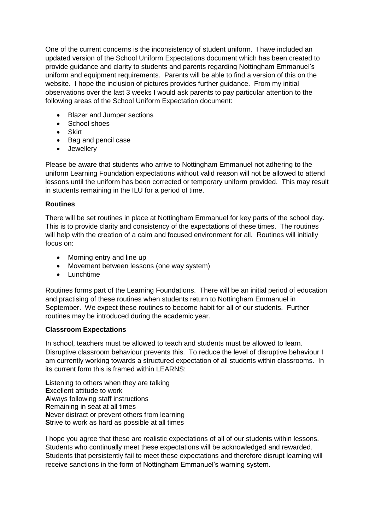One of the current concerns is the inconsistency of student uniform. I have included an updated version of the School Uniform Expectations document which has been created to provide guidance and clarity to students and parents regarding Nottingham Emmanuel's uniform and equipment requirements. Parents will be able to find a version of this on the website. I hope the inclusion of pictures provides further guidance. From my initial observations over the last 3 weeks I would ask parents to pay particular attention to the following areas of the School Uniform Expectation document:

- Blazer and Jumper sections
- School shoes
- Skirt
- Bag and pencil case
- **•** Jewellery

Please be aware that students who arrive to Nottingham Emmanuel not adhering to the uniform Learning Foundation expectations without valid reason will not be allowed to attend lessons until the uniform has been corrected or temporary uniform provided. This may result in students remaining in the ILU for a period of time.

## **Routines**

There will be set routines in place at Nottingham Emmanuel for key parts of the school day. This is to provide clarity and consistency of the expectations of these times. The routines will help with the creation of a calm and focused environment for all. Routines will initially focus on:

- Morning entry and line up
- Movement between lessons (one way system)
- Lunchtime

Routines forms part of the Learning Foundations. There will be an initial period of education and practising of these routines when students return to Nottingham Emmanuel in September. We expect these routines to become habit for all of our students. Further routines may be introduced during the academic year.

#### **Classroom Expectations**

In school, teachers must be allowed to teach and students must be allowed to learn. Disruptive classroom behaviour prevents this. To reduce the level of disruptive behaviour I am currently working towards a structured expectation of all students within classrooms. In its current form this is framed within LEARNS:

**L**istening to others when they are talking **E**xcellent attitude to work **A**lways following staff instructions **R**emaining in seat at all times **N**ever distract or prevent others from learning **S**trive to work as hard as possible at all times

I hope you agree that these are realistic expectations of all of our students within lessons. Students who continually meet these expectations will be acknowledged and rewarded. Students that persistently fail to meet these expectations and therefore disrupt learning will receive sanctions in the form of Nottingham Emmanuel's warning system.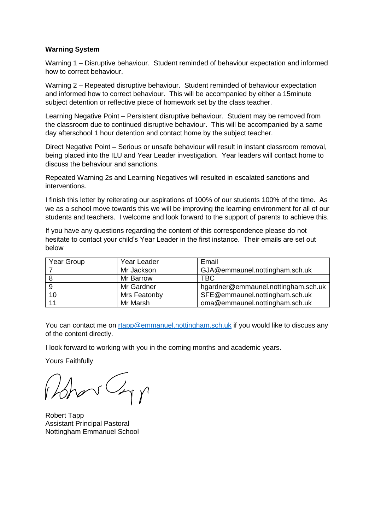#### **Warning System**

Warning 1 – Disruptive behaviour. Student reminded of behaviour expectation and informed how to correct behaviour.

Warning 2 – Repeated disruptive behaviour. Student reminded of behaviour expectation and informed how to correct behaviour. This will be accompanied by either a 15minute subject detention or reflective piece of homework set by the class teacher.

Learning Negative Point – Persistent disruptive behaviour. Student may be removed from the classroom due to continued disruptive behaviour. This will be accompanied by a same day afterschool 1 hour detention and contact home by the subject teacher.

Direct Negative Point – Serious or unsafe behaviour will result in instant classroom removal, being placed into the ILU and Year Leader investigation. Year leaders will contact home to discuss the behaviour and sanctions.

Repeated Warning 2s and Learning Negatives will resulted in escalated sanctions and interventions.

I finish this letter by reiterating our aspirations of 100% of our students 100% of the time. As we as a school move towards this we will be improving the learning environment for all of our students and teachers. I welcome and look forward to the support of parents to achieve this.

If you have any questions regarding the content of this correspondence please do not hesitate to contact your child's Year Leader in the first instance. Their emails are set out below

| Year Group | Year Leader  | Email                               |
|------------|--------------|-------------------------------------|
|            | Mr Jackson   | GJA@emmaunel.nottingham.sch.uk      |
|            | Mr Barrow    | <b>TBC</b>                          |
|            | Mr Gardner   | hgardner@emmaunel.nottingham.sch.uk |
| 10         | Mrs Featonby | SFE@emmaunel.nottingham.sch.uk      |
| 11         | Mr Marsh     | oma@emmaunel.nottingham.sch.uk      |

You can contact me on [rtapp@emmanuel.nottingham.sch.uk](mailto:rtapp@emmanuel.nottingham.sch.uk) if you would like to discuss any of the content directly.

I look forward to working with you in the coming months and academic years.

Yours Faithfully

 $\frac{1}{\sqrt{2}}$ 

Robert Tapp Assistant Principal Pastoral Nottingham Emmanuel School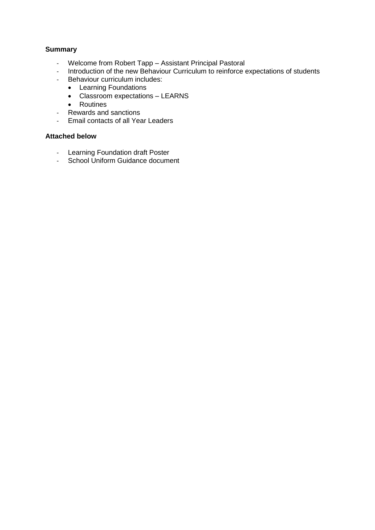#### **Summary**

- Welcome from Robert Tapp Assistant Principal Pastoral
- Introduction of the new Behaviour Curriculum to reinforce expectations of students
- Behaviour curriculum includes:
	- Learning Foundations
	- Classroom expectations LEARNS
	- Routines
- Rewards and sanctions
- Email contacts of all Year Leaders

# **Attached below**

- Learning Foundation draft Poster<br>- School Uniform Guidance docume
- School Uniform Guidance document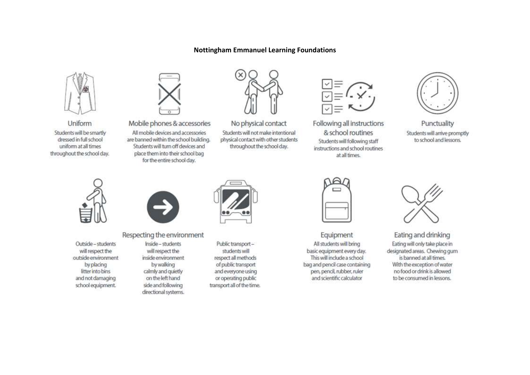#### **Nottingham Emmanuel Learning Foundations**



Uniform Students will be smartly dressed in full school uniform at all times throughout the school day.



Mobile phones & accessories

All mobile devices and accessories are banned within the school building. Students will turn off devices and place them into their school bag for the entire school day.



No physical contact Students will not make intentional physical contact with other students throughout the school day.



Following all instructions & school routines Students will following staff instructions and school routines. at all times.



Punctuality Students will arrive promptly to school and lessons.



Outside - students will respect the outside environment by placing litter into bins and not damaging school equipment.



#### Respecting the environment

Inside - students will respect the inside environment by walking calmly and quietly on the left hand side and following directional systems.



Public transportstudents will respect all methods of public transport and everyone using or operating public transport all of the time.

| Y      | ٠ |        |  |
|--------|---|--------|--|
| ×<br>÷ |   | $\sim$ |  |
| ï<br>ł | ï |        |  |

Equipment All students will bring basic equipment every day. This will include a school bag and pencil case containing pen, pencil, rubber, ruler and scientific calculator



Eating and drinking Eating will only take place in designated areas. Chewing gum is banned at all times. With the exception of water no food or drink is allowed to be consumed in lessons.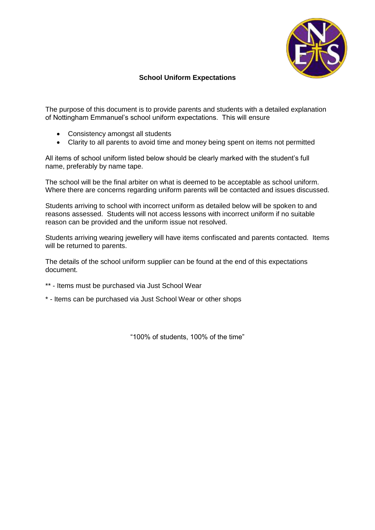

# **School Uniform Expectations**

The purpose of this document is to provide parents and students with a detailed explanation of Nottingham Emmanuel's school uniform expectations. This will ensure

- Consistency amongst all students
- Clarity to all parents to avoid time and money being spent on items not permitted

All items of school uniform listed below should be clearly marked with the student's full name, preferably by name tape.

The school will be the final arbiter on what is deemed to be acceptable as school uniform. Where there are concerns regarding uniform parents will be contacted and issues discussed.

Students arriving to school with incorrect uniform as detailed below will be spoken to and reasons assessed. Students will not access lessons with incorrect uniform if no suitable reason can be provided and the uniform issue not resolved.

Students arriving wearing jewellery will have items confiscated and parents contacted. Items will be returned to parents.

The details of the school uniform supplier can be found at the end of this expectations document.

- \*\* Items must be purchased via Just School Wear
- \* Items can be purchased via Just School Wear or other shops

"100% of students, 100% of the time"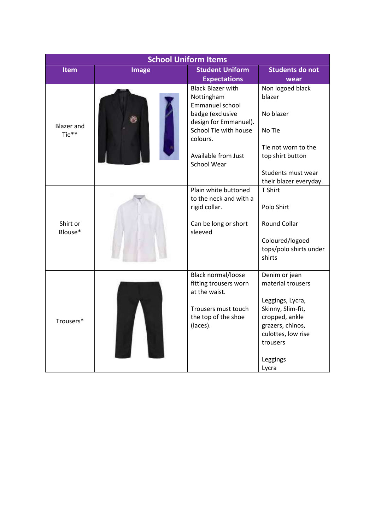| <b>School Uniform Items</b> |              |                                                                  |                            |
|-----------------------------|--------------|------------------------------------------------------------------|----------------------------|
| <b>Item</b>                 | <b>Image</b> | <b>Student Uniform</b>                                           | <b>Students do not</b>     |
|                             |              | <b>Expectations</b>                                              | wear                       |
|                             |              | <b>Black Blazer with</b><br>Nottingham<br><b>Emmanuel school</b> | Non logoed black<br>blazer |
| <b>Blazer</b> and           |              | badge (exclusive<br>design for Emmanuel).                        | No blazer                  |
| Tie**                       |              | School Tie with house<br>colours.                                | No Tie                     |
|                             |              | Available from Just                                              | Tie not worn to the        |
|                             |              | <b>School Wear</b>                                               | top shirt button           |
|                             |              |                                                                  | Students must wear         |
|                             |              |                                                                  | their blazer everyday.     |
|                             |              | Plain white buttoned<br>to the neck and with a                   | T Shirt                    |
|                             |              | rigid collar.                                                    | Polo Shirt                 |
| Shirt or<br>Blouse*         |              | Can be long or short<br>sleeved                                  | <b>Round Collar</b>        |
|                             |              |                                                                  | Coloured/logoed            |
|                             |              |                                                                  | tops/polo shirts under     |
|                             |              |                                                                  | shirts                     |
|                             |              | Black normal/loose                                               | Denim or jean              |
|                             |              | fitting trousers worn<br>at the waist.                           | material trousers          |
|                             |              |                                                                  | Leggings, Lycra,           |
|                             |              | Trousers must touch                                              | Skinny, Slim-fit,          |
| Trousers*                   |              | the top of the shoe                                              | cropped, ankle             |
|                             |              | (laces).                                                         | grazers, chinos,           |
|                             |              |                                                                  | culottes, low rise         |
|                             |              |                                                                  | trousers                   |
|                             |              |                                                                  | Leggings                   |
|                             |              |                                                                  | Lycra                      |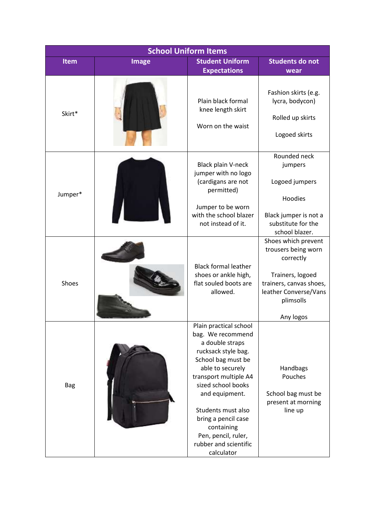| <b>School Uniform Items</b> |              |                                                                                                                                                                                                                                                                                                                           |                                                                                                                                              |
|-----------------------------|--------------|---------------------------------------------------------------------------------------------------------------------------------------------------------------------------------------------------------------------------------------------------------------------------------------------------------------------------|----------------------------------------------------------------------------------------------------------------------------------------------|
| Item                        | <b>Image</b> | <b>Student Uniform</b><br><b>Expectations</b>                                                                                                                                                                                                                                                                             | <b>Students do not</b><br>wear                                                                                                               |
| Skirt*                      |              | Plain black formal<br>knee length skirt<br>Worn on the waist                                                                                                                                                                                                                                                              | Fashion skirts (e.g.<br>lycra, bodycon)<br>Rolled up skirts<br>Logoed skirts                                                                 |
| Jumper*                     |              | Black plain V-neck<br>jumper with no logo<br>(cardigans are not<br>permitted)<br>Jumper to be worn                                                                                                                                                                                                                        | Rounded neck<br>jumpers<br>Logoed jumpers<br>Hoodies                                                                                         |
|                             |              | with the school blazer<br>not instead of it.                                                                                                                                                                                                                                                                              | Black jumper is not a<br>substitute for the<br>school blazer.                                                                                |
| Shoes                       |              | <b>Black formal leather</b><br>shoes or ankle high,<br>flat souled boots are<br>allowed.                                                                                                                                                                                                                                  | Shoes which prevent<br>trousers being worn<br>correctly<br>Trainers, logoed<br>trainers, canvas shoes,<br>leather Converse/Vans<br>plimsolls |
| <b>Bag</b>                  |              | Plain practical school<br>bag. We recommend<br>a double straps<br>rucksack style bag.<br>School bag must be<br>able to securely<br>transport multiple A4<br>sized school books<br>and equipment.<br>Students must also<br>bring a pencil case<br>containing<br>Pen, pencil, ruler,<br>rubber and scientific<br>calculator | Any logos<br>Handbags<br>Pouches<br>School bag must be<br>present at morning<br>line up                                                      |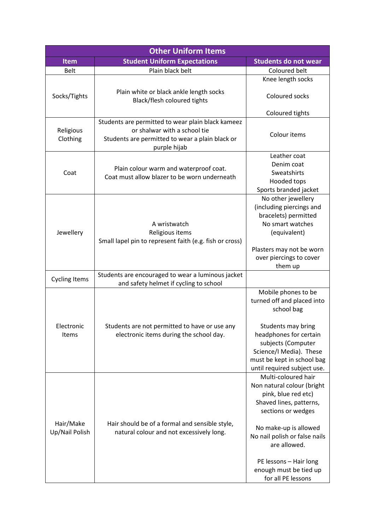| <b>Other Uniform Items</b>  |                                                                                                                                                      |                                                                                                                                                                                                                                                                                                              |  |  |
|-----------------------------|------------------------------------------------------------------------------------------------------------------------------------------------------|--------------------------------------------------------------------------------------------------------------------------------------------------------------------------------------------------------------------------------------------------------------------------------------------------------------|--|--|
| <b>Item</b>                 | <b>Student Uniform Expectations</b>                                                                                                                  | <b>Students do not wear</b>                                                                                                                                                                                                                                                                                  |  |  |
| <b>Belt</b>                 | Plain black belt                                                                                                                                     | Coloured belt                                                                                                                                                                                                                                                                                                |  |  |
|                             |                                                                                                                                                      | Knee length socks                                                                                                                                                                                                                                                                                            |  |  |
| Socks/Tights                | Plain white or black ankle length socks<br>Black/flesh coloured tights                                                                               | Coloured socks                                                                                                                                                                                                                                                                                               |  |  |
|                             |                                                                                                                                                      | Coloured tights                                                                                                                                                                                                                                                                                              |  |  |
| Religious<br>Clothing       | Students are permitted to wear plain black kameez<br>or shalwar with a school tie<br>Students are permitted to wear a plain black or<br>purple hijab | Colour items                                                                                                                                                                                                                                                                                                 |  |  |
| Coat                        | Plain colour warm and waterproof coat.<br>Coat must allow blazer to be worn underneath                                                               | Leather coat<br>Denim coat<br>Sweatshirts<br>Hooded tops<br>Sports branded jacket                                                                                                                                                                                                                            |  |  |
| Jewellery                   | A wristwatch<br>Religious items<br>Small lapel pin to represent faith (e.g. fish or cross)                                                           | No other jewellery<br>(including piercings and<br>bracelets) permitted<br>No smart watches<br>(equivalent)<br>Plasters may not be worn<br>over piercings to cover<br>them up                                                                                                                                 |  |  |
| <b>Cycling Items</b>        | Students are encouraged to wear a luminous jacket<br>and safety helmet if cycling to school                                                          |                                                                                                                                                                                                                                                                                                              |  |  |
| Electronic<br>Items         | Students are not permitted to have or use any<br>electronic items during the school day.                                                             | Mobile phones to be<br>turned off and placed into<br>school bag<br>Students may bring<br>headphones for certain<br>subjects (Computer<br>Science/I Media). These<br>must be kept in school bag                                                                                                               |  |  |
| Hair/Make<br>Up/Nail Polish | Hair should be of a formal and sensible style,<br>natural colour and not excessively long.                                                           | until required subject use.<br>Multi-coloured hair<br>Non natural colour (bright<br>pink, blue red etc)<br>Shaved lines, patterns,<br>sections or wedges<br>No make-up is allowed<br>No nail polish or false nails<br>are allowed.<br>PE lessons - Hair long<br>enough must be tied up<br>for all PE lessons |  |  |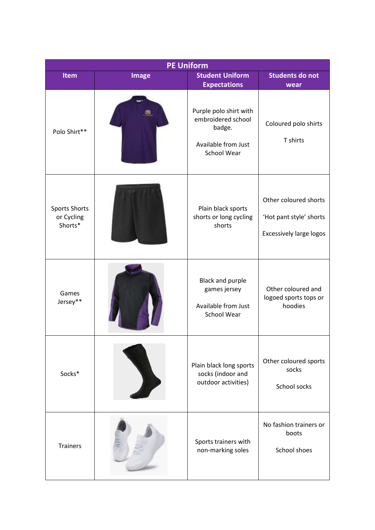| <b>PE Uniform</b>                             |              |                                                                                                     |                                                                                    |  |
|-----------------------------------------------|--------------|-----------------------------------------------------------------------------------------------------|------------------------------------------------------------------------------------|--|
| <b>Item</b>                                   | <b>Image</b> | <b>Student Uniform</b><br><b>Expectations</b>                                                       | <b>Students do not</b><br>wear                                                     |  |
| Polo Shirt**                                  |              | Purple polo shirt with<br>embroidered school<br>badge.<br>Available from Just<br><b>School Wear</b> | Coloured polo shirts<br>T shirts                                                   |  |
| <b>Sports Shorts</b><br>or Cycling<br>Shorts* |              | Plain black sports<br>shorts or long cycling<br>shorts                                              | Other coloured shorts<br>'Hot pant style' shorts<br><b>Excessively large logos</b> |  |
| Games<br>Jersey**                             |              | Black and purple<br>games jersey<br>Available from Just<br>School Wear                              | Other coloured and<br>logoed sports tops or<br>hoodies                             |  |
| Socks*                                        |              | Plain black long sports<br>socks (indoor and<br>outdoor activities)                                 | Other coloured sports<br>socks<br>School socks                                     |  |
| <b>Trainers</b>                               |              | Sports trainers with<br>non-marking soles                                                           | No fashion trainers or<br>boots<br>School shoes                                    |  |